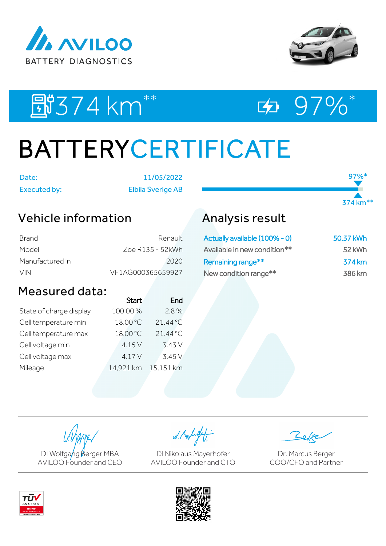



97%<sup>\*</sup>

374 km\*\*

EU374 km<sup>\*\*</sup> ED 97%\*



# BATTERYCERTIFICATE

Date: 11/05/2022

Executed by: Elbila Sverige AB

## Vehicle information

| Brand           | Renault           |
|-----------------|-------------------|
| Model           | Zoe R135 - 52kWh  |
| Manufactured in | 2020              |
| <b>VIN</b>      | VF1AG000365659927 |

### Measured data:

|                         | <b>Start</b> | End       |
|-------------------------|--------------|-----------|
| State of charge display | 100,00%      | 2.8%      |
| Cell temperature min    | 18.00 °C     | 21.44 °C  |
| Cell temperature max    | 18.00 °C     | 21.44 °C  |
| Cell voltage min        | 4.15 V       | 3.43 V    |
| Cell voltage max        | 4.17V        | 3.45V     |
| Mileage                 | 14,921 km    | 15,151 km |

## Analysis result

| Actually available (100% - 0) | 50.37 kWh |
|-------------------------------|-----------|
| Available in new condition**  | 52 kWh    |
| Remaining range**             | 374 km    |
| New condition range**         | 386 km    |

DI Wolfgang Berger MBA AVILOO Founder and CEO

W. Kolight

DI Nikolaus Mayerhofer AVILOO Founder and CTO

Dr. Marcus Berger COO/CFO and Partner